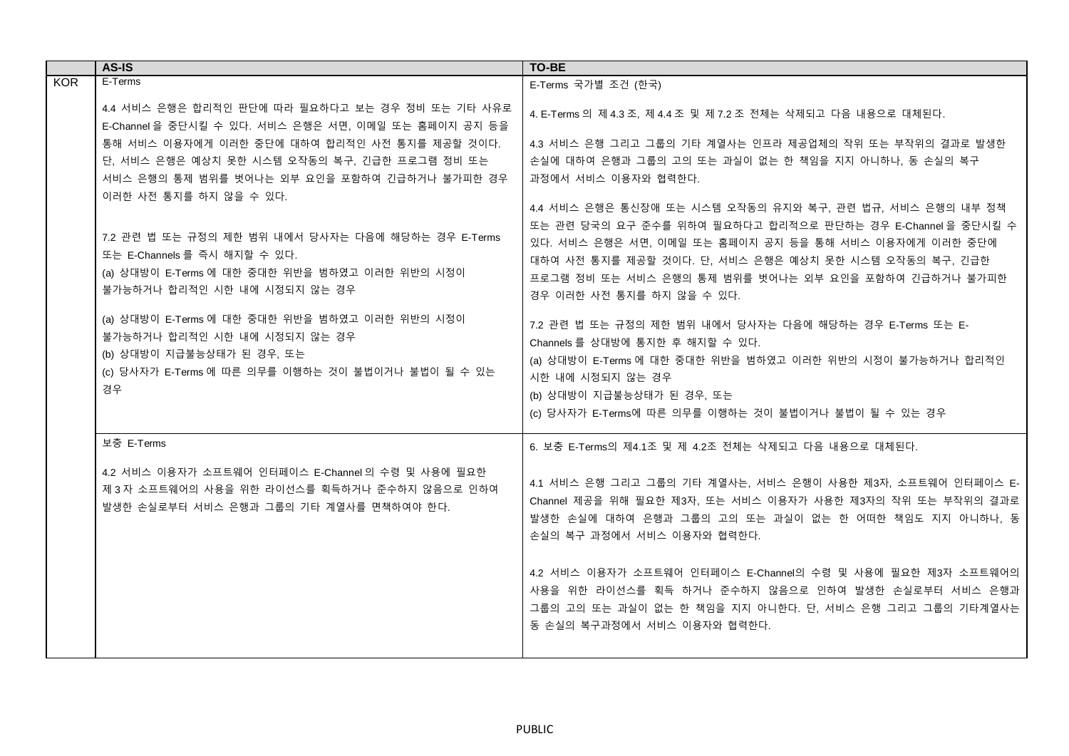|            | AS-IS                                                                                                                                                                   | <b>TO-BE</b>                                                                                                                                                                                                                                                         |
|------------|-------------------------------------------------------------------------------------------------------------------------------------------------------------------------|----------------------------------------------------------------------------------------------------------------------------------------------------------------------------------------------------------------------------------------------------------------------|
| <b>KOR</b> | E-Terms                                                                                                                                                                 | E-Terms 국가별 조건 (한국)                                                                                                                                                                                                                                                  |
|            | 4.4 서비스 은행은 합리적인 판단에 따라 필요하다고 보는 경우 정비 또는 기타 사유로<br>E-Channel 을 중단시킬 수 있다. 서비스 은행은 서면, 이메일 또는 홈페이지 공지 등을                                                                | 4. E-Terms 의 제 4.3 조, 제 4.4 조 및 제 7.2 조 전체는 삭제되고 다음 내용으로 대체된다.                                                                                                                                                                                                       |
|            | 통해 서비스 이용자에게 이러한 중단에 대하여 합리적인 사전 통지를 제공할 것이다.                                                                                                                           | 4.3 서비스 은행 그리고 그룹의 기타 계열사는 인프라 제공업체의 작위 또는 부작위의 결과로 발생한                                                                                                                                                                                                              |
|            | 단, 서비스 은행은 예상치 못한 시스템 오작동의 복구, 긴급한 프로그램 정비 또는                                                                                                                           | 손실에 대하여 은행과 그룹의 고의 또는 과실이 없는 한 책임을 지지 아니하나. 동 손실의 복구                                                                                                                                                                                                                 |
|            | 서비스 은행의 통제 범위를 벗어나는 외부 요인을 포함하여 긴급하거나 불가피한 경우                                                                                                                           | 과정에서 서비스 이용자와 협력한다.                                                                                                                                                                                                                                                  |
|            | 이러한 사전 통지를 하지 않을 수 있다.                                                                                                                                                  | 4.4 서비스 은행은 통신장애 또는 시스템 오작동의 유지와 복구, 관련 법규, 서비스 은행의 내부 정책                                                                                                                                                                                                            |
|            | 7.2 관련 법 또는 규정의 제한 범위 내에서 당사자는 다음에 해당하는 경우 E-Terms<br>또는 E-Channels 를 즉시 해지할 수 있다.<br>(a) 상대방이 E-Terms 에 대한 중대한 위반을 범하였고 이러한 위반의 시정이<br>불가능하거나 합리적인 시한 내에 시정되지 않는 경우    | 또는 관련 당국의 요구 준수를 위하여 필요하다고 합리적으로 판단하는 경우 E-Channel을 중단시킬 수<br>있다. 서비스 은행은 서면, 이메일 또는 홈페이지 공지 등을 통해 서비스 이용자에게 이러한 중단에<br>대하여 사전 통지를 제공할 것이다. 단, 서비스 은행은 예상치 못한 시스템 오작동의 복구, 긴급한<br>프로그램 정비 또는 서비스 은행의 통제 범위를 벗어나는 외부 요인을 포함하여 긴급하거나 불가피한<br>경우 이러한 사전 통지를 하지 않을 수 있다. |
|            | (a) 상대방이 E-Terms 에 대한 중대한 위반을 범하였고 이러한 위반의 시정이<br>불가능하거나 합리적인 시한 내에 시정되지 않는 경우<br>(b) 상대방이 지급불능상태가 된 경우, 또는<br>(c) 당사자가 E-Terms 에 따른 의무를 이행하는 것이 불법이거나 불법이 될 수 있는<br>경우 | 7.2 관련 법 또는 규정의 제한 범위 내에서 당사자는 다음에 해당하는 경우 E-Terms 또는 E-<br>Channels 를 상대방에 통지한 후 해지할 수 있다.<br>(a) 상대방이 E-Terms 에 대한 중대한 위반을 범하였고 이러한 위반의 시정이 불가능하거나 합리적인<br>시한 내에 시정되지 않는 경우<br>(b) 상대방이 지급불능상태가 된 경우, 또는<br>(c) 당사자가 E-Terms에 따른 의무를 이행하는 것이 불법이거나 불법이 될 수 있는 경우   |
|            | 보충 E-Terms                                                                                                                                                              | 6. 보충 E-Terms의 제4.1조 및 제 4.2조 전체는 삭제되고 다음 내용으로 대체된다.                                                                                                                                                                                                                 |
|            | 4.2 서비스 이용자가 소프트웨어 인터페이스 E-Channel의 수령 및 사용에 필요한<br>제 3 자 소프트웨어의 사용을 위한 라이선스를 획득하거나 준수하지 않음으로 인하여<br>발생한 손실로부터 서비스 은행과 그룹의 기타 계열사를 면책하여야 한다.                            | 4.1 서비스 은행 그리고 그룹의 기타 계열사는, 서비스 은행이 사용한 제3자, 소프트웨어 인터페이스 E-<br>Channel 제공을 위해 필요한 제3자, 또는 서비스 이용자가 사용한 제3자의 작위 또는 부작위의 결과로<br>발생한 손실에 대하여 은행과 그룹의 고의 또는 과실이 없는 한 어떠한 책임도 지지 아니하나, 동<br>손실의 복구 과정에서 서비스 이용자와 협력한다.                                                    |
|            |                                                                                                                                                                         | 4.2 서비스 이용자가 소프트웨어 인터페이스 E-Channel의 수령 및 사용에 필요한 제3자 소프트웨어의<br>사용을 위한 라이선스를 획득 하거나 준수하지 않음으로 인하여 발생한 손실로부터 서비스 은행과<br>그룹의 고의 또는 과실이 없는 한 책임을 지지 아니한다. 단, 서비스 은행 그리고 그룹의 기타계열사는<br>동 손실의 복구과정에서 서비스 이용자와 협력한다.                                                        |